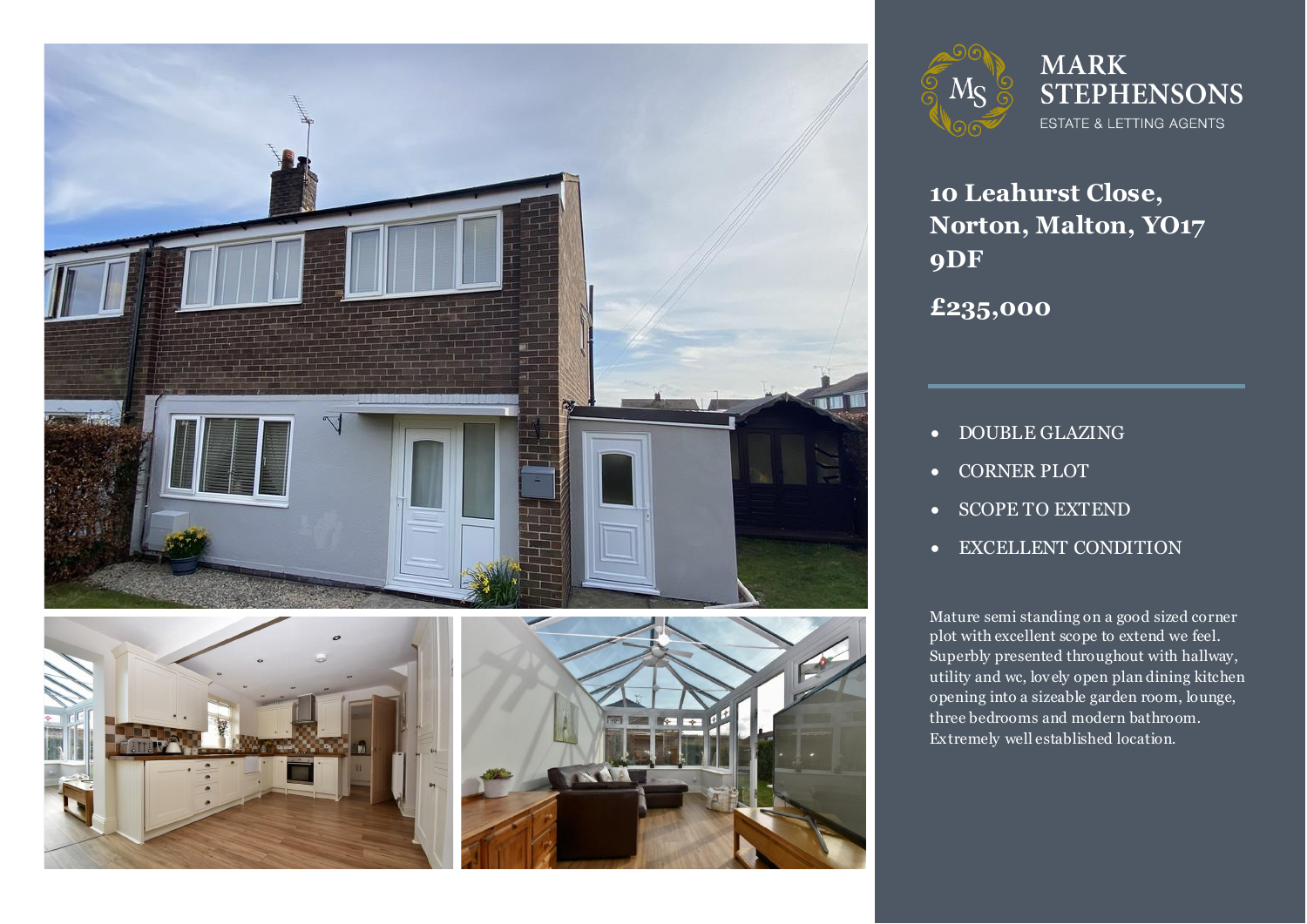



# **MARK STEPHENSONS** ESTATE & LETTING AGENTS

**10 Leahurst Close, Norton, Malton, YO17 9DF**

**£235,000**

- **DOUBLE GLAZING**
- CORNER PLOT
- SCOPE TO EXTEND
- EXCELLENT CONDITION

**1 h** a good sized corner<br>**b** to extend we feel. Superbly presented throughout with hallway,<br>utility and wc. lovely open plan dining kitcher Mature semi standing on a good sized corner plot with excellent scope to extend we feel. utility and wc, lovely open plan dining kitchen opening into a sizeable garden room, lounge, three bedrooms and modern bathroom. Extremely well established location.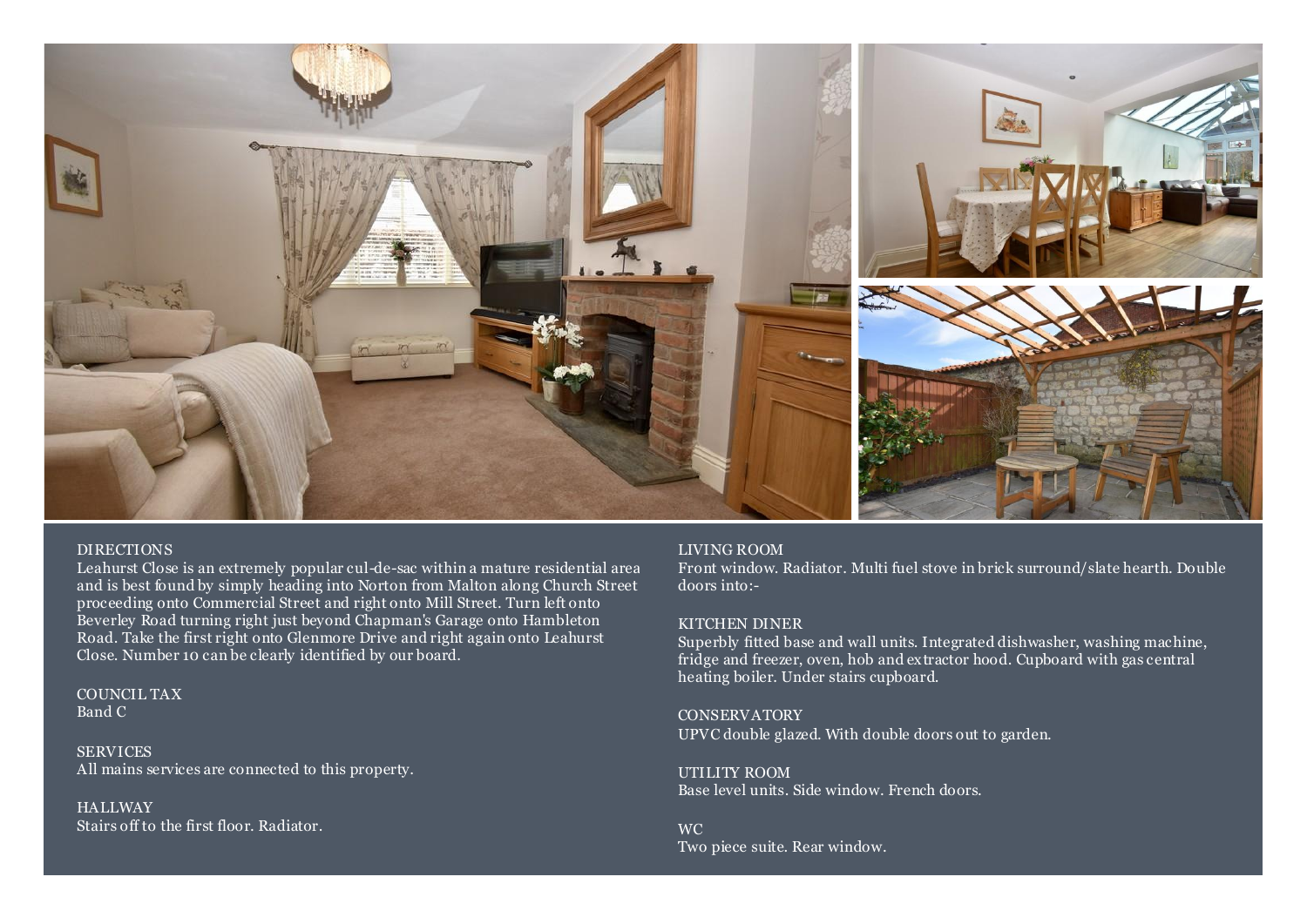

### DIRECTIONS

Leahurst Close is an extremely popular cul-de-sac within a mature residential area and is best found by simply heading into Norton from Malton along Church Street proceeding onto Commercial Street and right onto Mill Street. Turn left onto Beverley Road turning right just beyond Chapman's Garage onto Hambleton Road. Take the first right onto Glenmore Drive and right again onto Leahurst Close. Number 10 can be clearly identified by our board.

COUNCIL TAX Band C

SERVICES All mains services are connected to this property.

### **HALLWAY**

Stairs off to the first floor. Radiator.

### LIVING ROOM

Front window. Radiator. Multi fuel stove in brick surround/slate hearth. Double doors into:-

### KITCHEN DINER

Superbly fitted base and wall units. Integrated dishwasher, washing machine, fridge and freezer, oven, hob and extractor hood. Cupboard with gas central heating boiler. Under stairs cupboard.

**CONSERVATORY** UPVC double glazed. With double doors out to garden.

UTILITY ROOM Base level units. Side window. French doors.

WC Two piece suite. Rear window.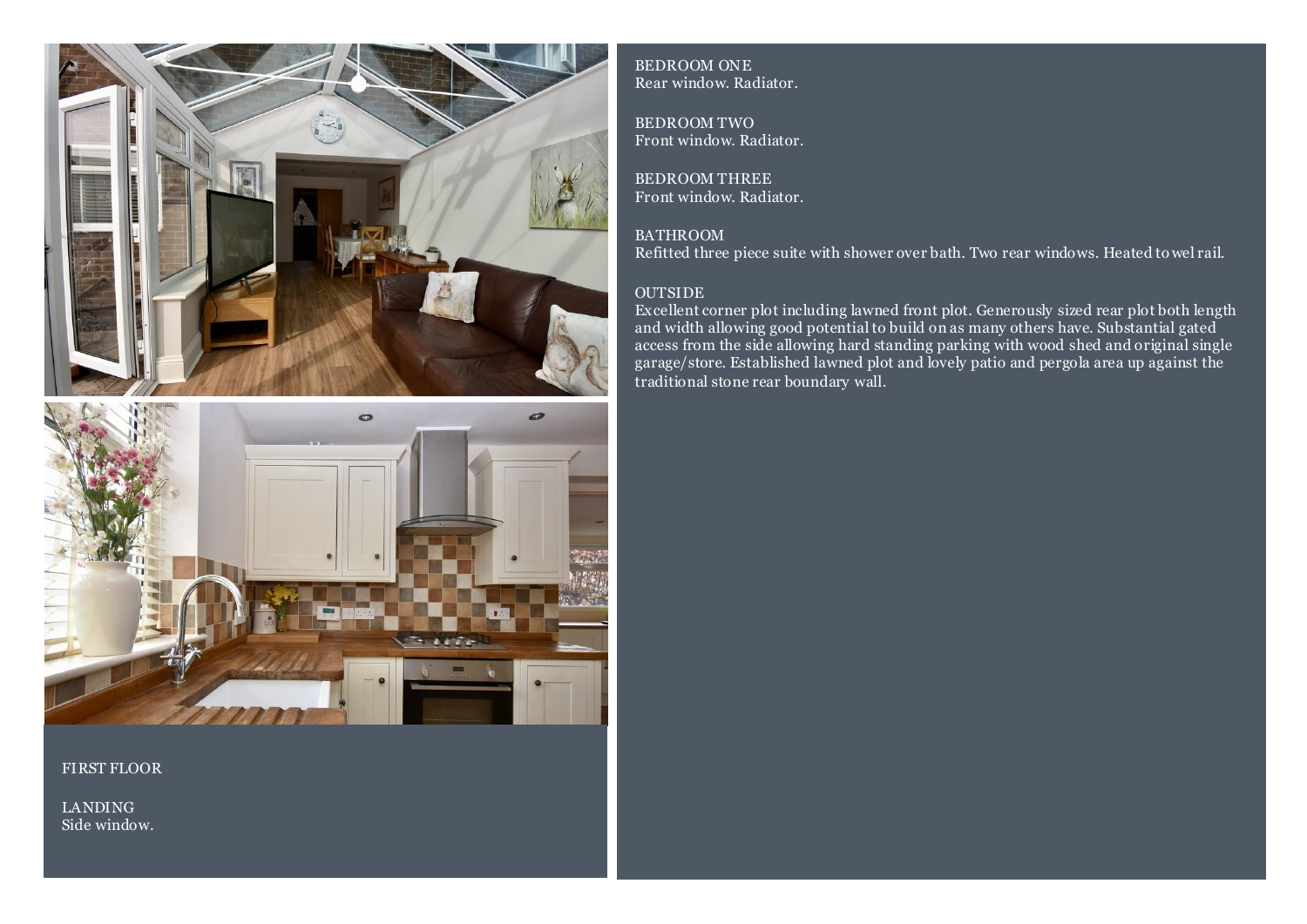



FIRST FLOOR

LANDING Side window.

BEDROOM ONE Rear window. Radiator.

BEDROOM TWO Front window. Radiator.

BEDROOM THREE Front window. Radiator.

**BATHROOM** Refitted three piece suite with shower over bath. Two rear windows. Heated to wel rail.

### OUTSIDE

Excellent corner plot including lawned front plot. Generously sized rear plot both length and width allowing good potential to build on as many others have. Substantial gated access from the side allowing hard standing parking with wood shed and original single garage/store. Established lawned plot and lovely patio and pergola area up against the traditional stone rear boundary wall.